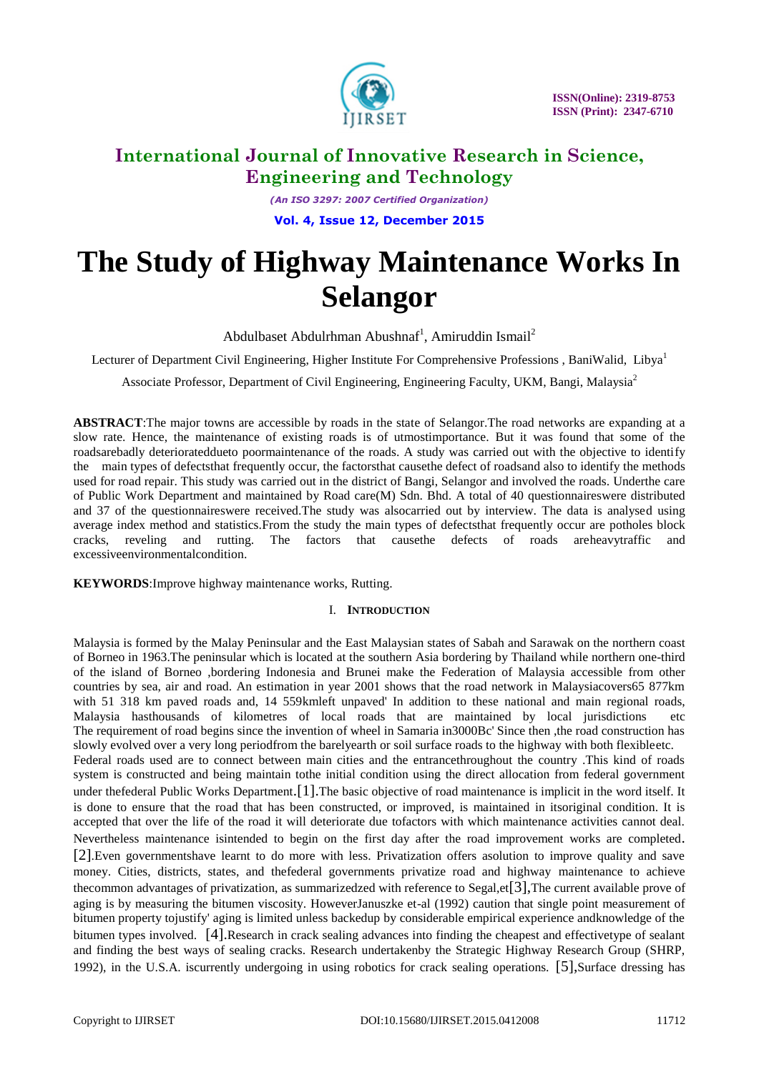

*(An ISO 3297: 2007 Certified Organization)* **Vol. 4, Issue 12, December 2015**

# **The Study of Highway Maintenance Works In Selangor**

Abdulbaset Abdulrhman Abushnaf<sup>1</sup>, Amiruddin Ismail<sup>2</sup>

Lecturer of Department Civil Engineering, Higher Institute For Comprehensive Professions, BaniWalid, Libya<sup>1</sup>

Associate Professor, Department of Civil Engineering, Engineering Faculty, UKM, Bangi, Malaysia<sup>2</sup>

**ABSTRACT**:The major towns are accessible by roads in the state of Selangor.The road networks are expanding at a slow rate. Hence, the maintenance of existing roads is of utmostimportance. But it was found that some of the roadsarebadly deteriorateddueto poormaintenance of the roads. A study was carried out with the objective to identify the main types of defectsthat frequently occur, the factorsthat causethe defect of roadsand also to identify the methods used for road repair. This study was carried out in the district of Bangi, Selangor and involved the roads. Underthe care of Public Work Department and maintained by Road care(M) Sdn. Bhd. A total of 40 questionnaireswere distributed and 37 of the questionnaireswere received.The study was alsocarried out by interview. The data is analysed using average index method and statistics.From the study the main types of defectsthat frequently occur are potholes block cracks, reveling and rutting. The factors that causethe defects of roads areheavytraffic and excessiveenvironmentalcondition.

**KEYWORDS**:Improve highway maintenance works, Rutting.

### I. **INTRODUCTION**

Malaysia is formed by the Malay Peninsular and the East Malaysian states of Sabah and Sarawak on the northern coast of Borneo in 1963.The peninsular which is located at the southern Asia bordering by Thailand while northern one-third of the island of Borneo ,bordering Indonesia and Brunei make the Federation of Malaysia accessible from other countries by sea, air and road. An estimation in year 2001 shows that the road network in Malaysiacovers65 877km with 51 318 km paved roads and, 14 559kmleft unpaved' In addition to these national and main regional roads, Malaysia hasthousands of kilometres of local roads that are maintained by local jurisdictions etc The requirement of road begins since the invention of wheel in Samaria in3000Bc' Since then ,the road construction has slowly evolved over a very long periodfrom the barelyearth or soil surface roads to the highway with both flexibleetc. Federal roads used are to connect between main cities and the entrancethroughout the country .This kind of roads system is constructed and being maintain tothe initial condition using the direct allocation from federal government under thefederal Public Works Department.[1].The basic objective of road maintenance is implicit in the word itself. It is done to ensure that the road that has been constructed, or improved, is maintained in itsoriginal condition. It is accepted that over the life of the road it will deteriorate due tofactors with which maintenance activities cannot deal. Nevertheless maintenance isintended to begin on the first day after the road improvement works are completed. [2].Even governmentshave learnt to do more with less. Privatization offers asolution to improve quality and save money. Cities, districts, states, and thefederal governments privatize road and highway maintenance to achieve thecommon advantages of privatization, as summarizedzed with reference to Segal,et[3],The current available prove of aging is by measuring the bitumen viscosity. HoweverJanuszke et-al (1992) caution that single point measurement of bitumen property tojustify' aging is limited unless backedup by considerable empirical experience andknowledge of the bitumen types involved. [4].Research in crack sealing advances into finding the cheapest and effectivetype of sealant and finding the best ways of sealing cracks. Research undertakenby the Strategic Highway Research Group (SHRP, 1992), in the U.S.A. iscurrently undergoing in using robotics for crack sealing operations. [5],Surface dressing has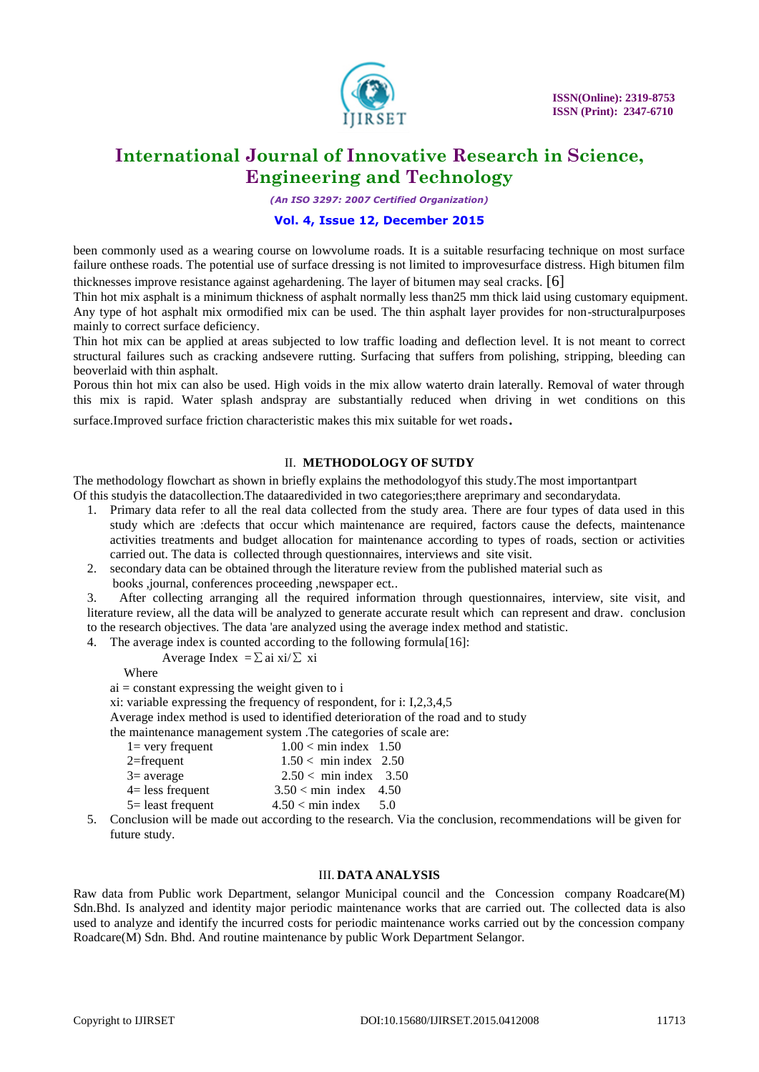

*(An ISO 3297: 2007 Certified Organization)*

### **Vol. 4, Issue 12, December 2015**

been commonly used as a wearing course on lowvolume roads. It is a suitable resurfacing technique on most surface failure onthese roads. The potential use of surface dressing is not limited to improvesurface distress. High bitumen film thicknesses improve resistance against agehardening. The layer of bitumen may seal cracks. [6]

Thin hot mix asphalt is a minimum thickness of asphalt normally less than25 mm thick laid using customary equipment. Any type of hot asphalt mix ormodified mix can be used. The thin asphalt layer provides for non-structuralpurposes mainly to correct surface deficiency.

Thin hot mix can be applied at areas subjected to low traffic loading and deflection level. It is not meant to correct structural failures such as cracking andsevere rutting. Surfacing that suffers from polishing, stripping, bleeding can beoverlaid with thin asphalt.

Porous thin hot mix can also be used. High voids in the mix allow waterto drain laterally. Removal of water through this mix is rapid. Water splash andspray are substantially reduced when driving in wet conditions on this

surface.Improved surface friction characteristic makes this mix suitable for wet roads.

### II. **METHODOLOGY OF SUTDY**

The methodology flowchart as shown in briefly explains the methodologyof this study.The most importantpart Of this studyis the datacollection.The dataaredivided in two categories;there areprimary and secondarydata.

- 1. Primary data refer to all the real data collected from the study area. There are four types of data used in this study which are :defects that occur which maintenance are required, factors cause the defects, maintenance activities treatments and budget allocation for maintenance according to types of roads, section or activities carried out. The data is collected through questionnaires, interviews and site visit.
- 2. secondary data can be obtained through the literature review from the published material such as
	- books ,journal, conferences proceeding ,newspaper ect..

3. After collecting arranging all the required information through questionnaires, interview, site visit, and literature review, all the data will be analyzed to generate accurate result which can represent and draw. conclusion to the research objectives. The data 'are analyzed using the average index method and statistic.

4. The average index is counted according to the following formula[16]:

### Average Index =  $\sum$ ai xi/ $\sum$  xi

Where

 $ai = constant$  expressing the weight given to i

xi: variable expressing the frequency of respondent, for i: I,2,3,4,5

Average index method is used to identified deterioration of the road and to study

the maintenance management system .The categories of scale are:

| $l = \text{very frequent}$     | $1.00 < \text{min index}$ 1.50       |  |
|--------------------------------|--------------------------------------|--|
| $2 =$ frequent                 | $1.50 < \text{min index}$ 2.50       |  |
| $3$ = average                  | $2.50 < \text{min index} \quad 3.50$ |  |
| $4 =$ less frequent            | $3.50 < \text{min}$ index 4.50       |  |
| $\mathcal{F}$ - loost froquant | $4.50 \times min$ index $5.0$        |  |

 $5 =$  least frequent  $4.50 <$  min index  $5.0$ 

5. Conclusion will be made out according to the research. Via the conclusion, recommendations will be given for future study.

#### III. **DATA ANALYSIS**

Raw data from Public work Department, selangor Municipal council and the Concession company Roadcare(M) Sdn.Bhd. Is analyzed and identity major periodic maintenance works that are carried out. The collected data is also used to analyze and identify the incurred costs for periodic maintenance works carried out by the concession company Roadcare(M) Sdn. Bhd. And routine maintenance by public Work Department Selangor.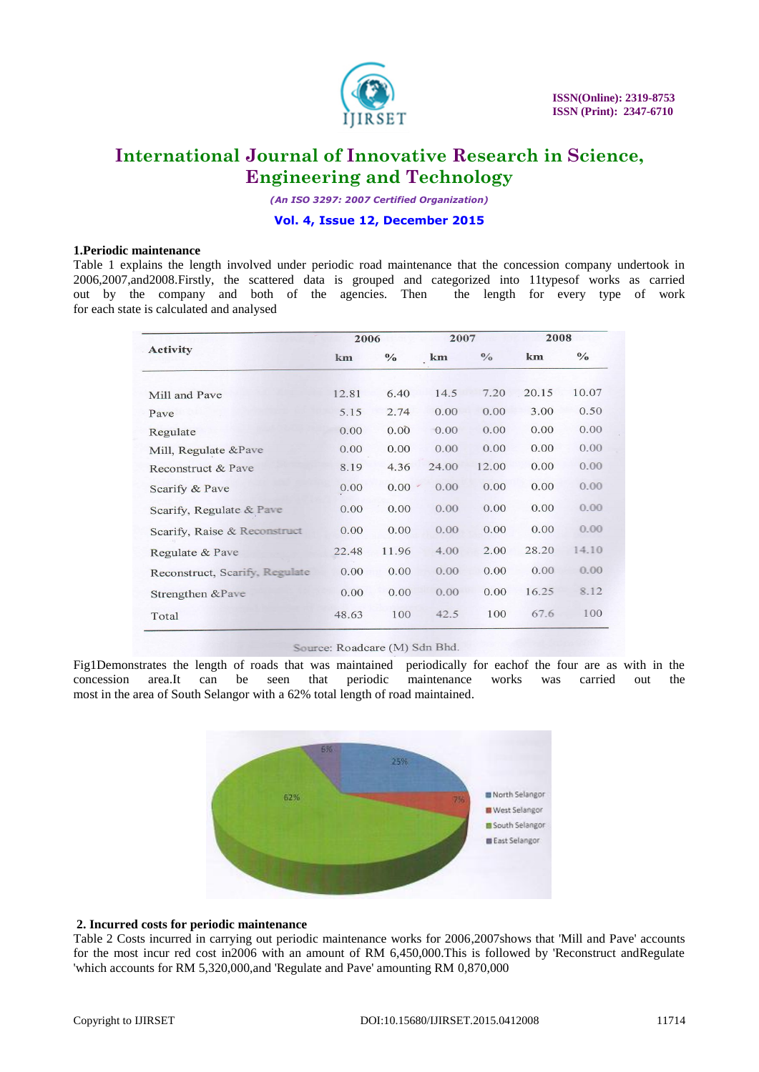

*(An ISO 3297: 2007 Certified Organization)*

#### **Vol. 4, Issue 12, December 2015**

#### **1.Periodic maintenance**

Table 1 explains the length involved under periodic road maintenance that the concession company undertook in 2006,2007,and2008.Firstly, the scattered data is grouped and categorized into 11typesof works as carried out by the company and both of the agencies. Then the length for every type of work for each state is calculated and analysed

|                                | 2006  |               | 2007  |               | 2008  |               |
|--------------------------------|-------|---------------|-------|---------------|-------|---------------|
| <b>Activity</b>                | km    | $\frac{0}{0}$ | km    | $\frac{0}{0}$ | km    | $\frac{0}{0}$ |
| Mill and Pave                  | 12.81 | 6.40          | 14.5  | 7.20          | 20.15 | 10.07         |
| Pave                           | 5.15  | 2.74          | 0.00  | 0.00          | 3.00  | 0.50          |
| Regulate                       | 0.00  | 0.00          | 0.00  | 0.00          | 0.00  | 0.00          |
| Mill, Regulate &Pave           | 0.00  | 0.00          | 0.00  | 0.00          | 0.00  | 0.00          |
| Reconstruct & Pave             | 8.19  | 4.36          | 24.00 | 12.00         | 0.00  | 0.00          |
| Scarify & Pave                 | 0.00  | 0.00          | 0.00  | 0.00          | 0.00  | 0.00          |
| Scarify, Regulate & Pave       | 0.00  | 0.00          | 0.00  | 0.00          | 0.00  | 0.00          |
| Scarify, Raise & Reconstruct   | 0.00  | 0.00          | 0.00  | 0.00          | 0.00  | 0.00          |
| Regulate & Pave                | 22.48 | 11.96         | 4.00  | 2.00          | 28.20 | 14.10         |
| Reconstruct, Scarify, Regulate | 0.00  | 0.00          | 0.00  | 0.00          | 0.00  | 0.00          |
| Strengthen &Pave               | 0.00  | 0.00          | 0.00  | 0.00          | 16.25 | 8.12          |
| Total                          | 48.63 | 100           | 42.5  | 100           | 67.6  | 100           |

Source: Roadcare (M) Sdn Bhd.

Fig1Demonstrates the length of roads that was maintained periodically for eachof the four are as with in the concession area.It can be seen that periodic maintenance works was carried out the most in the area of South Selangor with a 62% total length of road maintained.



### **2. Incurred costs for periodic maintenance**

Table 2 Costs incurred in carrying out periodic maintenance works for 2006,2007shows that 'Mill and Pave' accounts for the most incur red cost in2006 with an amount of RM 6,450,000.This is followed by 'Reconstruct andRegulate 'which accounts for RM 5,320,000,and 'Regulate and Pave' amounting RM 0,870,000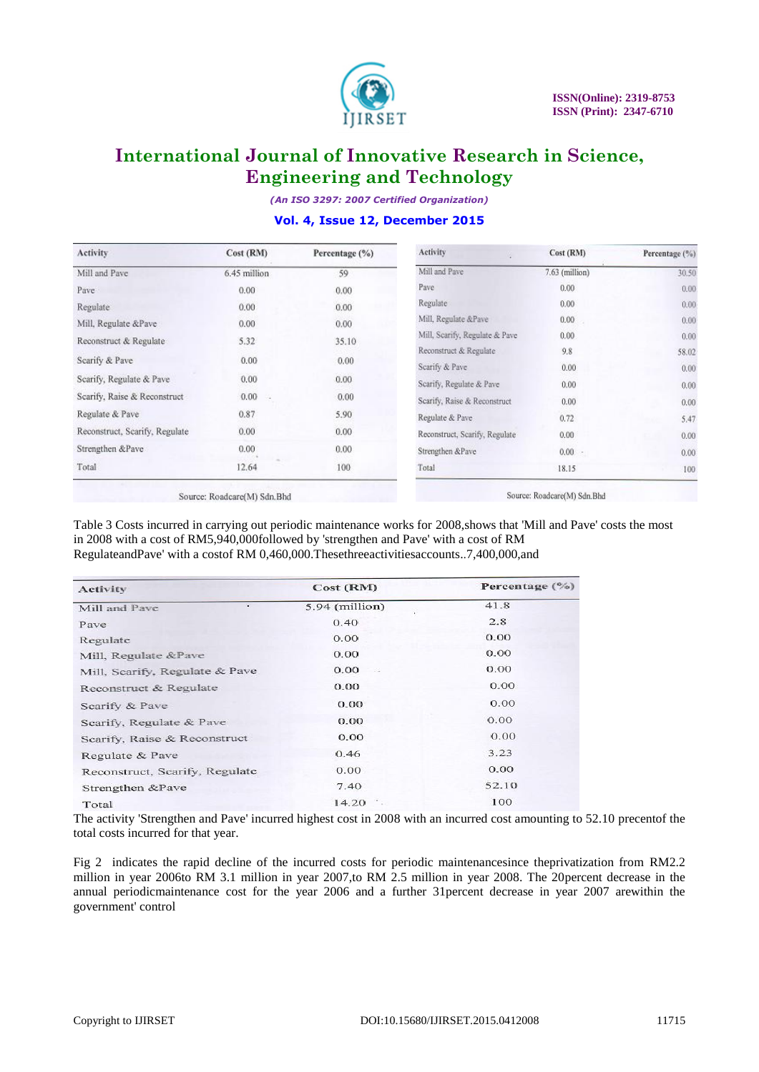

*(An ISO 3297: 2007 Certified Organization)*

### **Vol. 4, Issue 12, December 2015**

| Activity                       | Cost (RM)    | Percentage (%) | Activity                       | Cost (RM)        | Percentage (%) |
|--------------------------------|--------------|----------------|--------------------------------|------------------|----------------|
| Mill and Pave                  | 6.45 million | 59             | Mill and Pave                  | $7.63$ (million) | 30.50          |
| Pave                           | 0.00         | 0.00           | Pave                           | 0.00.            | 0.00.          |
| Regulate                       | 0.00.        | 0.00           | Regulate                       | 0.00             | 0.00           |
| Mill, Regulate &Pave           | 0.00         | 0.00           | Mill, Regulate &Pave           | 0.00             | 0.00.          |
| Reconstruct & Regulate         | 5.32         | 35.10          | Mill, Scarify, Regulate & Pave | 0.00.            | 0.00.          |
|                                |              |                | Reconstruct & Regulate         | 9.8              | 58.02          |
| Scarify & Pave                 | 0.00         | 0.00           | Scarify & Pave                 | 0.00             | 0.00           |
| Scarify, Regulate & Pave       | 0.00         | 0.00.          | Scarify, Regulate & Pave       | 0.00             | 0.00           |
| Scarify, Raise & Reconstruct   | 0.00         | 0.00           | Scarify, Raise & Reconstruct   | 0.00             | 0.00.          |
| Regulate & Pave                | 0.87         | 5.90           | Regulate & Pave                | 0.72             | 5.47           |
| Reconstruct, Scarify, Regulate | 0.00         | 0.00           | Reconstruct, Scarify, Regulate | 0.00             | 0.00           |
| Strengthen &Pave               | 0.00         | 0.00.          | Strengthen &Pave               | $0.00 -$         | 0.00.          |
| Total                          | 12.64        | 100            | Total                          | 18.15            | 100            |

Source: Roadcare(M) Sdn.Bhd

Source: Roadcare(M) Sdn.Bhd

Table 3 Costs incurred in carrying out periodic maintenance works for 2008,shows that 'Mill and Pave' costs the most in 2008 with a cost of RM5,940,000followed by 'strengthen and Pave' with a cost of RM RegulateandPave' with a costof RM 0,460,000.Thesethreeactivitiesaccounts..7,400,000,and

| Activity                       | Cost (RM)        | Percentage $(\% )$ |  |  |
|--------------------------------|------------------|--------------------|--|--|
| $\sim$<br>Mill and Pave        | $5.94$ (million) | 41.8               |  |  |
| Pave                           | 0.40             | 2.8                |  |  |
| Regulate                       | 0.00             | 0.00               |  |  |
| Mill, Regulate &Pave           | 0.00             | 0.00               |  |  |
| Mill, Scarify, Regulate & Pave | 0.00             | 0.00               |  |  |
| Reconstruct & Regulate         | 0.00             | 0.00               |  |  |
| Scarify & Pave                 | 0.00             | 0.00               |  |  |
| Scarify, Regulate & Pave       | 0.00             | 0.00               |  |  |
| Scarify, Raise & Reconstruct   | 0.00             | 0.00               |  |  |
| Regulate & Pave                | 0.46             | 3.23               |  |  |
| Reconstruct, Scarify, Regulate | 0.00             | 0.00               |  |  |
| Strengthen &Pave               | 7.40             | 52.10              |  |  |
| Total                          | 14.20            | 100                |  |  |

The activity 'Strengthen and Pave' incurred highest cost in 2008 with an incurred cost amounting to 52.10 precentof the total costs incurred for that year.

Fig 2 indicates the rapid decline of the incurred costs for periodic maintenancesince theprivatization from RM2.2 million in year 2006to RM 3.1 million in year 2007,to RM 2.5 million in year 2008. The 20percent decrease in the annual periodicmaintenance cost for the year 2006 and a further 31percent decrease in year 2007 arewithin the government' control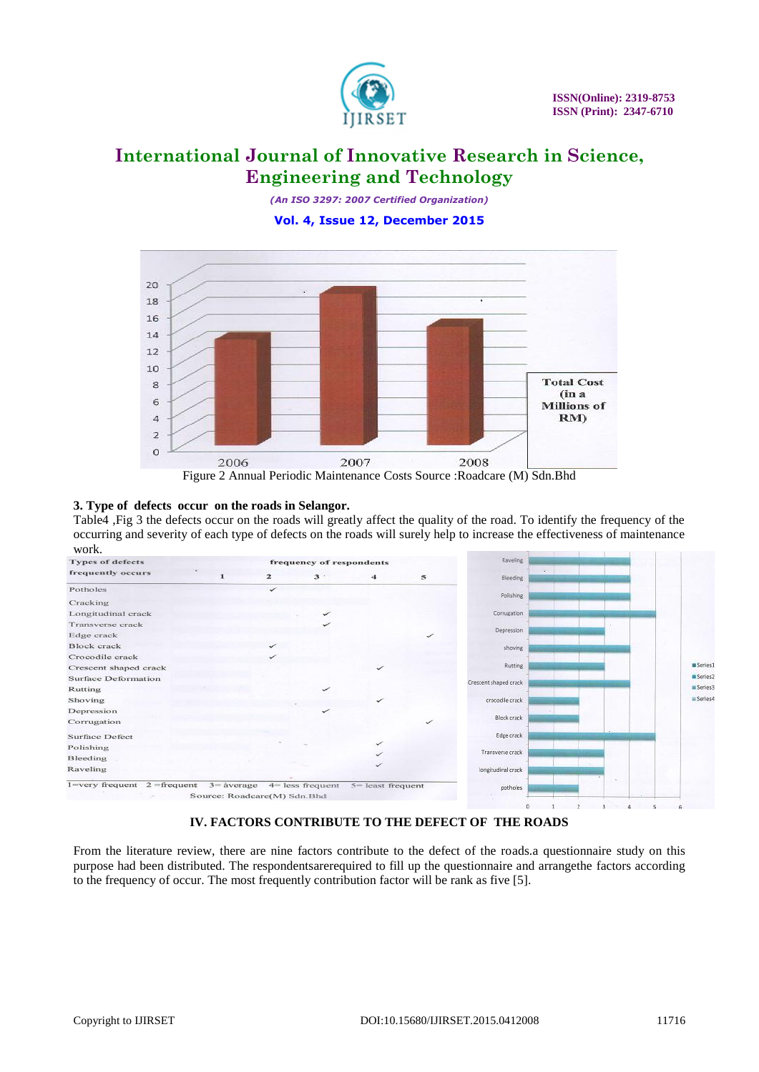

*(An ISO 3297: 2007 Certified Organization)* **Vol. 4, Issue 12, December 2015**



Figure 2 Annual Periodic Maintenance Costs Source :Roadcare (M) Sdn.Bhd

### **3. Type of defects occur on the roads in Selangor.**

Table4 ,Fig 3 the defects occur on the roads will greatly affect the quality of the road. To identify the frequency of the occurring and severity of each type of defects on the roads will surely help to increase the effectiveness of maintenance



### **IV. FACTORS CONTRIBUTE TO THE DEFECT OF THE ROADS**

From the literature review, there are nine factors contribute to the defect of the roads.a questionnaire study on this purpose had been distributed. The respondentsarerequired to fill up the questionnaire and arrangethe factors according to the frequency of occur. The most frequently contribution factor will be rank as five [5].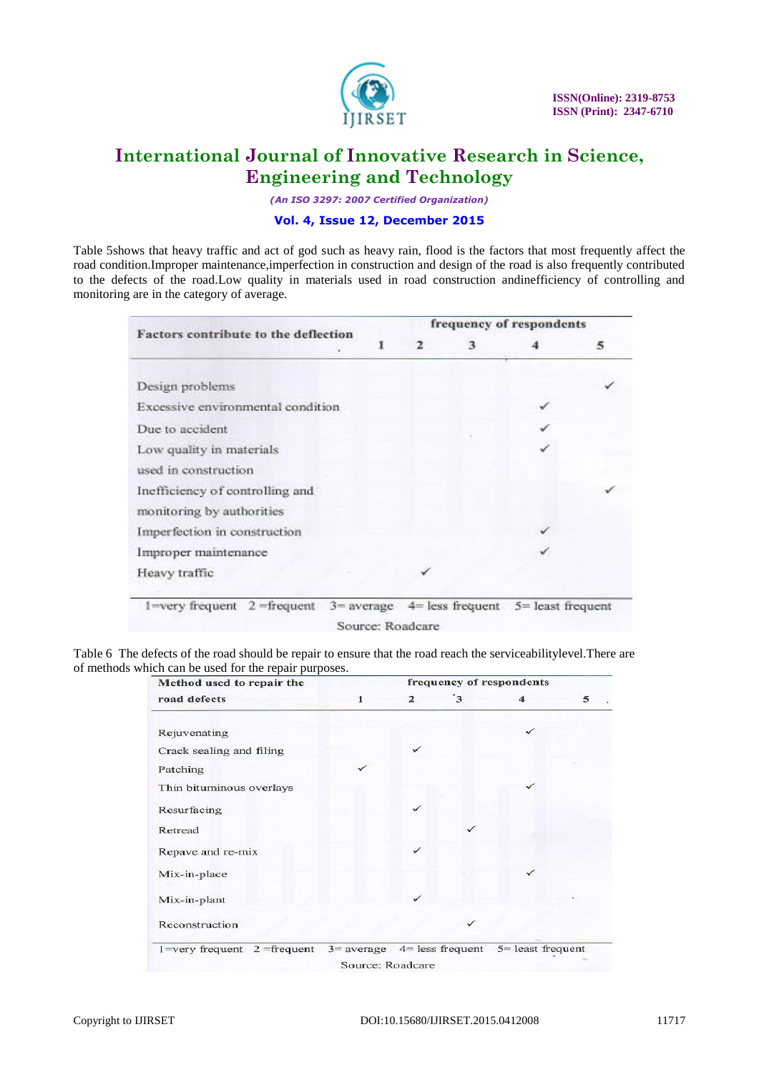

*(An ISO 3297: 2007 Certified Organization)*

### **Vol. 4, Issue 12, December 2015**

Table 5shows that heavy traffic and act of god such as heavy rain, flood is the factors that most frequently affect the road condition.Improper maintenance,imperfection in construction and design of the road is also frequently contributed to the defects of the road.Low quality in materials used in road construction andinefficiency of controlling and monitoring are in the category of average.

| Factors contribute to the deflection |   | frequency of respondents |   |   |   |  |  |  |
|--------------------------------------|---|--------------------------|---|---|---|--|--|--|
|                                      | ı | 2                        | з |   | 5 |  |  |  |
| Design problems                      |   |                          |   |   |   |  |  |  |
| Excessive environmental condition    |   |                          |   |   |   |  |  |  |
| Due to accident                      |   |                          |   | ✓ |   |  |  |  |
| Low quality in materials             |   |                          |   |   |   |  |  |  |
| used in construction                 |   |                          |   |   |   |  |  |  |
| Inefficiency of controlling and      |   |                          |   |   |   |  |  |  |
| monitoring by authorities            |   |                          |   |   |   |  |  |  |
| Imperfection in construction         |   |                          |   |   |   |  |  |  |
| Improper maintenance                 |   |                          |   |   |   |  |  |  |
| Heavy traffic                        |   | ✓                        |   |   |   |  |  |  |

Table 6 The defects of the road should be repair to ensure that the road reach the serviceabilitylevel.There are

| Method used to repair the                                       |                | frequency of respondents |                      |   |  |
|-----------------------------------------------------------------|----------------|--------------------------|----------------------|---|--|
| road defects                                                    | $\overline{2}$ | $\cdot$ <sub>3</sub>     |                      | 5 |  |
| Rejuvenating                                                    |                |                          | ✓                    |   |  |
| Crack sealing and filing                                        |                |                          |                      |   |  |
| Patching                                                        |                |                          |                      |   |  |
| Thin bituminous overlays                                        |                |                          | ✓                    |   |  |
| Resurfacing                                                     | ✓              |                          |                      |   |  |
| Retread                                                         |                | ✓                        |                      |   |  |
| Repave and re-mix                                               | $\checkmark$   |                          |                      |   |  |
| Mix-in-place                                                    |                |                          |                      |   |  |
| Mix-in-plant                                                    |                |                          |                      |   |  |
| Reconstruction                                                  |                |                          |                      |   |  |
| 1=very frequent $2$ =frequent $3$ = average $4$ = less frequent |                |                          | $5$ = least frequent |   |  |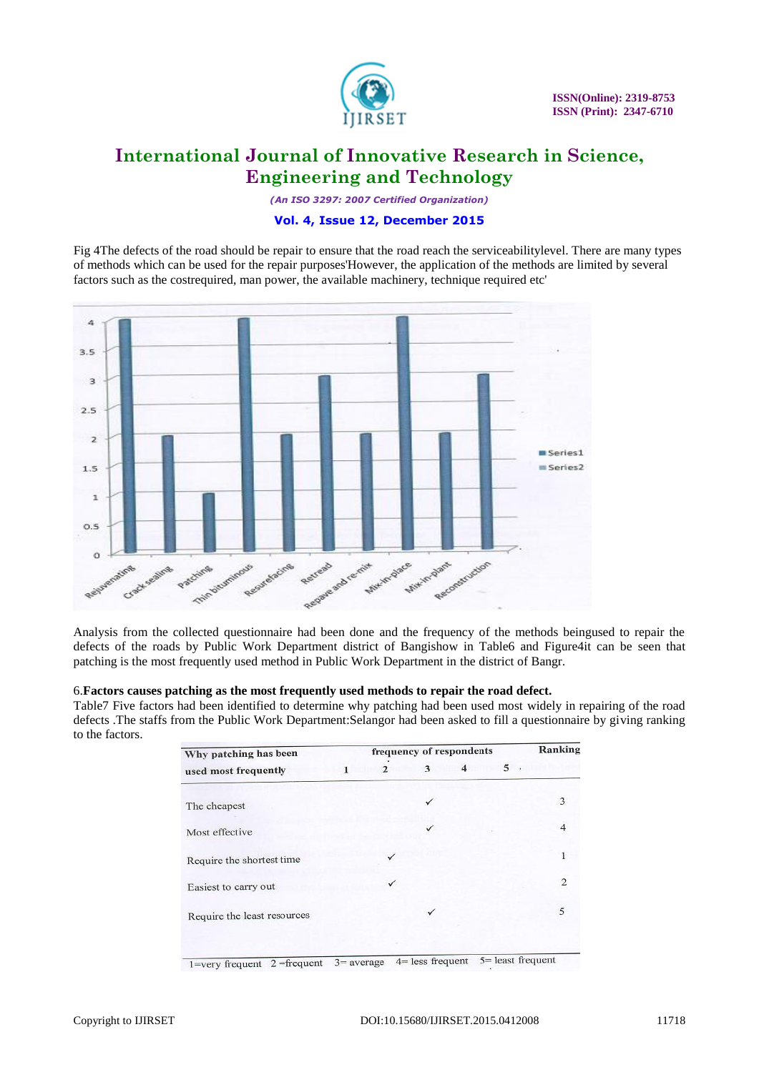

*(An ISO 3297: 2007 Certified Organization)*

### **Vol. 4, Issue 12, December 2015**

Fig 4The defects of the road should be repair to ensure that the road reach the serviceabilitylevel. There are many types of methods which can be used for the repair purposes'However, the application of the methods are limited by several factors such as the costrequired, man power, the available machinery, technique required etc'



Analysis from the collected questionnaire had been done and the frequency of the methods beingused to repair the defects of the roads by Public Work Department district of Bangishow in Table6 and Figure4it can be seen that patching is the most frequently used method in Public Work Department in the district of Bangr.

### 6.**Factors causes patching as the most frequently used methods to repair the road defect.**

Table7 Five factors had been identified to determine why patching had been used most widely in repairing of the road defects .The staffs from the Public Work Department:Selangor had been asked to fill a questionnaire by giving ranking to the factors.

| Why patching has been       |   | Ranking      |              |                         |   |                |
|-----------------------------|---|--------------|--------------|-------------------------|---|----------------|
| used most frequently        | 1 | $\mathbf{2}$ | 3            | $\overline{\mathbf{4}}$ | 5 |                |
| The cheapest                |   |              | ✓            |                         |   | 3              |
| Most effective              |   |              | ✓            |                         |   | 4              |
| Require the shortest time   |   |              |              |                         |   | 1              |
| Easiest to carry out        |   | ✓            |              |                         |   | $\mathfrak{D}$ |
| Require the least resources |   |              | $\checkmark$ |                         |   | 5              |
|                             |   |              |              |                         |   |                |

 $1 = \text{very frequent}$  2 = frequent 3 = average 4 = less frequent